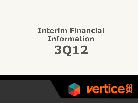# **Interim Financial Information 3Q12**

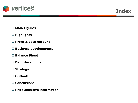

**Index**

**Main Figures**

### **Highlights**

- **Profit & Loss Account**
- **Business developments**
- **Balance Sheet**
- **Debt development**
- **Strategy**
- **Outlook**
- **Conclusions**
- **Price sensitive information**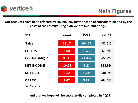

**Our accounts have been affected by Lavinia leaving the scope of consolidation and by the costs of the restructuring plan we are implementing...**



*In milllion of euros*

**....and that we hope will be successfully completed in 4Q12.**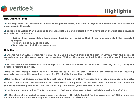

# **Highlights**

#### **New Business Focus**

**Resulting from the creation of a new management team, one that is highly committed and has extensive experience in the sector.**

□ Based on an Action Plan designed to increase both size and profitability. We have taken the first steps towards **restructuring the Company.**

**Exiting from unprofitable businesses: Lavinia, on realizing that it has not generated the expected synergies.**

**Refinancing of 97% of the debt.**

**Restructuring of all the business areas.**

#### **Main figures**

□ Income was €69.1m, compared to €104m in 3011 (-33.5%) owing to the exit of Lavinia from the scope of consolidation and the lower production of content. Without the impact of Lavinia the reduction would have been **14%.**

□ EBITDA was  $\epsilon$ 5.7m (51% less than in 3011), as a result of the exit of Lavinia, restructuring costs ( $\epsilon$ 2.4m) and **greater pressure on prices.**

**The EBITDA margin stood at 8.2% compared to 11.3% in 3Q11. Without the impact of non-recurring restructuring costs, this would have been 11.6%, slightly higher than in 3Q11.**

□The net loss was €10.9m compared to a net loss of €1.2m in 3011. The reasons are those explained previously,

to which we can add the increase in financial costs arising from the disinvestment in Lavinia and PowWow **(€1.94m). Removing this effect and restructuring costs would give a net loss of €6.5m.**

□Net financial debt stood at  $$30.2m$  compared to  $$49.4m$  at the close of 2011, which is a reduction of 38.8%.

□At the close of the period an agreement was signed with H.I.G. Capital for the investment of  $©0m$  in Vértice **Servicios Audiovisuales, company until them wholly owned by Vértice 360º.**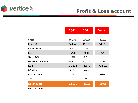

### **Profit & Loss account**

|                              | <b>3Q12</b> | <b>3Q11</b> | Var %     |
|------------------------------|-------------|-------------|-----------|
|                              |             |             |           |
| <b>Sales</b>                 | 69,170      | 104,068     | $-33.5%$  |
| <b>EBITDA</b>                | 5,694       | 11,736      | $-51.5%$  |
| <b>EBITDA Margin</b>         | 8.2%        | 11.3%       |           |
| <b>EBIT</b>                  | $-6,430$    | 968         | n.S       |
| Margen EBIT                  | $-9.3%$     | 0.9%        |           |
| <b>Net Financial Results</b> | $-3,702$    | $-2,508$    | $-47.6%$  |
| <b>EBT</b>                   | $-10,133$   | $-1,540$    | $-758.0%$ |
| <b>EBT Margin</b>            | $-14.6%$    | $-1.5%$     |           |
| <b>Minority Interests</b>    | 786         | 178         | 342%      |
| <b>Taxes</b>                 | $-2$        | 489         | n.s       |
| <b>Net Income</b>            | $-10,921$   | $-1,229$    | -989%     |

*In thousand of euros*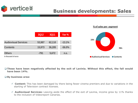

# **Business developments: Sales**

**% of sales per segment**



 **These have been negatively affected by the exit of Lavinia. Without this effect, the fall would have been 14%.**

### **By business area:**

- **Content:** This has been damaged by there being fewer cinema premiers and due to variations in the starting of Television contract licenses.
- **Audiovisual Services:** Leaving aside the effect of the exit of Lavinia, income grew by 11% thanks to the inclusion of Videoreport Canarias.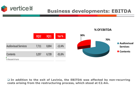![](_page_6_Picture_0.jpeg)

# **Business developments: EBITDA**

**% Of EBITDA**

![](_page_6_Figure_2.jpeg)

 **In addition to the exit of Lavinia, the EBITDA was affected by non-recurring costs arising from the restructuring process, which stood at €2.4m.**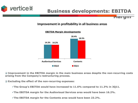![](_page_7_Picture_0.jpeg)

# **Business developments: EBITDA**

**Margin** 

### **Improvement in profitability in all business areas**

![](_page_7_Figure_3.jpeg)

### **EBITDA Margin developments**

 **Improvement in the EBITDA margin in the main business areas despite the non-recurring costs arising from the Company's restructuring process.**

**Excluding the effect of the non-recurring expenses:**

**The Group's EBITDA would have increased to 11.6% compared to 11.3% in 3Q11.**

**The EBITDA margin for the Audiovisual Services area would have been 16.2%.**

**The EBITDA margin for the Contents area would have been 23.2%.**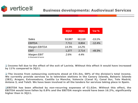![](_page_8_Picture_0.jpeg)

|                                     | <b>3Q12</b> | <b>3Q11</b> | Var %    |
|-------------------------------------|-------------|-------------|----------|
| <b>Sales</b>                        | 53,987      | 62,110      | $-13.1%$ |
| <b>EBITDA</b>                       | 7,711       | 8,804       | $-12.4%$ |
| Margen EBITDA                       | 14.3%       | 14.2%       |          |
| <b>EBIT</b>                         | 1,377       | 2,714       | $-49.3%$ |
| Margen EBIT<br>In thousand of euros | 2.6%        | 4.4%        |          |

 **Income fell due to the effect of the exit of Lavinia. Without this effect it would have increased by 11% compared to 3Q11.**

 **The income from outsourcing contracts stood at €31.5m, 58% of the division's total income. We currently provide services to la television stations in the Canary Islands, Balearic Islands (IB3), Aragon, Extremadura, Castilla La Mancha, Valencia (Canal 9), Canal Sur, Tele Madrid, Antena 3, and Tele5. We have been involved in all the tenders for services taking place in Spain.**

**EBITDA has been affected by non-recurring expenses of €1.02m. Without this effect, the EBITDA would have fallen by 0.8% and the EBITDA margin would have been 16.2%, significantly higher than in 3Q11.**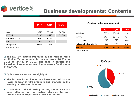![](_page_9_Picture_0.jpeg)

# **Business developments: Contents**

|                                     | <b>3Q12</b> | <b>3Q11</b> | Var %    |
|-------------------------------------|-------------|-------------|----------|
| <b>Sales</b>                        | 15,973      | 36,285      | $-56.0%$ |
| <b>EBITDA</b>                       | 3,257       | 6,728       | $-51.6%$ |
| Margen EBITDA                       | 20.4%       | 18.5%       |          |
| EBIT                                | $-2,399$    | 1,846       | n.s.     |
| Margen EBIT<br>In thousand of euros | -15.0%      | 5.1%        |          |

 **The EBITDA margin improved due to making more profitable TV programs, increasing from 18.5% in 3Q11 to 24.4% in 3Q12, and that is despite the inclusion of some non-recurring expenses for the sum of €0.46m.**

**By business area we can highlight:**

- **The income from cinema has been affected by the lower number of film premiers and changes in the starting of television licenses.**
- **In addition to the shrinking market, the TV area has been affected by the tactical decision to only produce the more profitable television series.**

### **Content sales per segment**

|                          | <b>3Q12</b> | <b>3Q11</b> | Var %  |
|--------------------------|-------------|-------------|--------|
| Television               | 6,270       | 16,008      | $-61%$ |
| Cinema                   | 9,926       | 18,561      | $-47%$ |
| Others sales             | 298         | 2,623       | $-89%$ |
| Subconsolidation adjusts | $-520$      | $-907$      | n.s.   |
| <b>TOTAL*</b>            | 15,974      | 36,285      | $-56%$ |
| la thousand of ourse     |             |             |        |

*In thousand of euros*

![](_page_9_Figure_10.jpeg)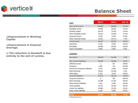![](_page_10_Picture_0.jpeg)

### **Balance Sheet**

| <b>□Improvement in Working</b> |  |
|--------------------------------|--|
| Capital.                       |  |

**Improvement in financial leverage.**

 **The reduction in Goodwill is due entirely to the exit of Lavinia.**

| Asset                         | <b>3Q12</b> | 2011    | Var %    |
|-------------------------------|-------------|---------|----------|
| <b>Non-current asset</b>      | 148,287     | 169,007 | $-12.3%$ |
| Intangible assets             | 23,583      | 26,561  | $-11.2%$ |
| <b>Working Capital</b>        | 63,476      | 73,225  | $-13.3%$ |
| Other Intangible assets       | 34.073      | 41.046  | $-17.0%$ |
| <b>Financial Assets</b>       | 3.343       | 2.434   | 37.3%    |
| <b>Other Financial Assets</b> | 23,812      | 25,741  | $-7.5\%$ |
| <b>Current asset</b>          | 44,167      | 63,275  | $-30.2%$ |
| Inventories                   | 2,343       | 4,290   | $-45.4%$ |
| Recivables                    | 35,895      | 53,423  | $-32.8%$ |
| Cash & Equivalent             | 5.929       | 5.562   | 6.6%     |

#### **Liabilities**

| <b>Net Equity</b>               | 104,918 | 115,951 | $-9.5%$    |
|---------------------------------|---------|---------|------------|
| <b>Non-current liabilities</b>  | 33,794  | 36,188  | $-6.6%$    |
| Deferred Income                 | 1       | 86      | $-98.8%$   |
| Provisions                      | 1,597   | 710     | 124.9%     |
| Pasivos por impuestos diferidos | 1,574   | 2,648   | $-40.6%$   |
| Bank borrowing                  | 23,841  | 23,466  | 1.6%       |
| Other debts                     | 6,781   | 9,278   | $-26.9%$   |
| <b>Current Liabilities</b>      | 53,742  | 80,143  | $-32.9%$   |
| Long term provisions            | 0       | 795     | $-100.0\%$ |
| Bank borrowing                  | 12,289  | 31,467  | $-60.9%$   |
| Other financial liabilities     | 1,041   | 1,960   | $-46.9%$   |
| Trade payables                  | 15,272  | 25,643  | $-40.4%$   |
| Current tax liabilities         | 18,960  | 15,314  | 23.8%      |
| Other current liabilities       | 6,180   | 4,964   | 24.5%      |
|                                 |         |         |            |
| <b>TOTAL</b>                    | 192,454 | 232,282 | $-17.1%$   |

*In thousand of euros*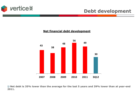![](_page_11_Picture_0.jpeg)

### **Net financial debt development**

![](_page_11_Figure_3.jpeg)

 **Net debt is 35% lower than the average for the last 5 years and 39% lower than at year-end 2011.**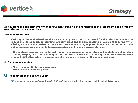![](_page_12_Picture_0.jpeg)

#### $\square$ To improve the complementarity of our business areas, taking advantage of the fact that we as a company **cover the entire business chain.**

#### **To increase turnover.**

**Priority in the Audiovisual Services area, arising from the current need for the television stations to reduce their fixed costs, outsourcing auxiliary areas and thereby creating an excellent opportunity for Vértice, as one of the leaders in the sector. New outsourcing opportunities are expected in both the public autonomous community television stations and in some private stations.**

**Strategy**

**The contents area will be reinforced through the acquisition, renovation and exploitation of catalogs** of films, keeping it active and adapted to the needs of the demand at any time. We currently have **around 3,500 titles, which makes us one of the leaders in Spain in this area of activity.**

#### **To improve margins.**

**Close the unprofitable business areas Strict cost containment policy**

### **Robustness of the Balance Sheet**

**Renegotiation and refinancing of 100% of the debt with banks and public administrations.**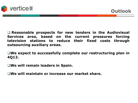![](_page_13_Picture_0.jpeg)

 **Reasonable prospects for new tenders in the Audiovisual Services area, based on the current pressures forcing television stations to reduce their fixed costs through outsourcing auxiliary areas.**

**We expect to successfully complete our restructuring plan in 4Q12.**

**We will remain leaders in Spain.**

**We will maintain or increase our market share.**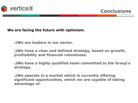![](_page_14_Picture_0.jpeg)

**We are facing the future with optimism.**

**We are leaders in our sector.**

**We have a clear and defined strategy, based on growth, profitability and financial robustness.**

**We have a highly qualified team committed to the Group's strategy.**

**We operate in a market which is currently offering significant opportunities, which we are capable of taking advantage of.**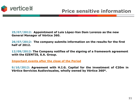![](_page_15_Picture_0.jpeg)

**25/07/2012: Appointment of Luis López-Van Dam Lorenzo as the new General Manager of Vértice 360.**

**26/07/2012: The company submits information on the results for the first half of 2012.**

**12/09/2012: The Company notifies of the signing of a framework agreement with the EZENTIS, S.A. Group.**

**Important events after the close of the Period**

**9/10/2012: Agreement with H.I.G. Capital for the investment of €20m in Vértice Servicios Audiovisuales, wholly owned by Vértice 360º.**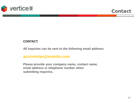![](_page_16_Picture_0.jpeg)

### **CONTACT.**

**All inquiries can be sent to the following email address:**

### **accionistas@ezentis.com**

**Please provide your company name, contact name, email address or telephone number when submitting inquiries.**